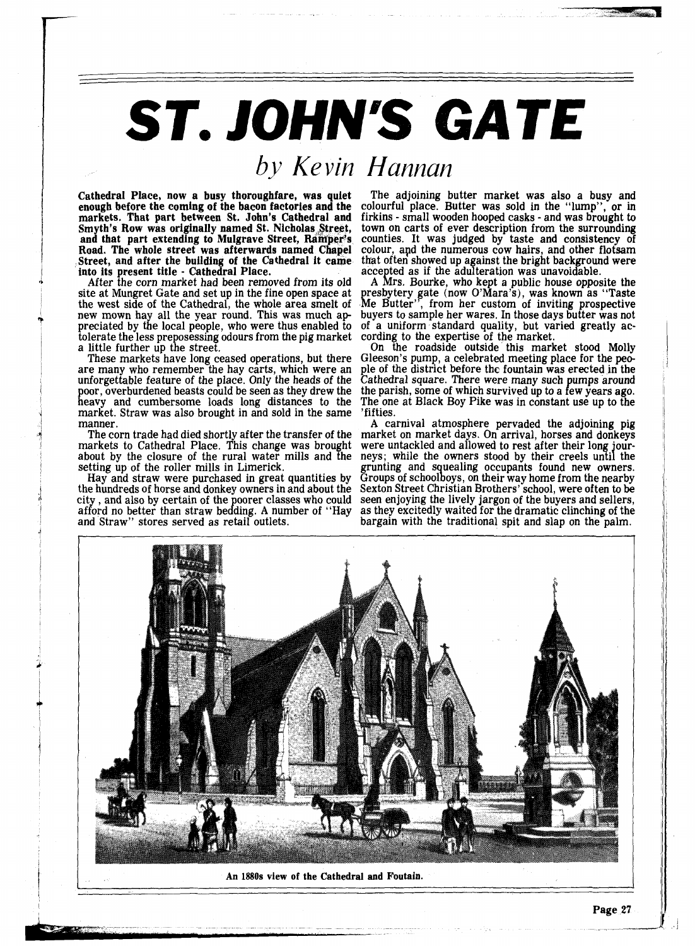## **ST. JOHN'S GATE** by Kevin Hannan

Cathedral Place, now a busy thoroughfare, was quiet enough before the coming of the bacon factories and the markets. That part between St. John's Cathedral and Smyth's Row was originally named St. Nicholas Street, and that part extending to Mulgrave Street, Ramper's Road. The whole street was afterwards named Chapel Street, and after the building of the Cathedral it came into its present title - Cathedral Place.

After the corn market had been removed from its old site at Mungret Gate and set up in the fine open space at the west side of the Cathedral, the whole area smelt of new mown hay all the year round. This was much appreciated by the local people, who were thus enabled to tolerate the less preposessing odours from the pig market a little further up the street.

These markets have long ceased operations, but there are many who remember the hay carts, which were an unforgettable feature of the place. Only the heads of the poor, overburdened beasts could be seen as they drew the poor, overburdened beasts could be seen as they drew the<br>heavy and cumbersome loads long distances to the market. Straw was also brought in and sold in the same manner.

The corn trade had died shortly after the transfer of the markets to Cathedral Place. This change was brought about by the closure of the rural water mills and the

setting up of the roller mills in Limerick.<br>Hay and straw were purchased in great quantities by the hundreds of horse and donkey owners in and about the city , and also by certain of the oorer classes who could afford no better than straw bedding. A number of "Hay<br>and Straw" stores served as retail outlets.

The adjoining butter market was also a busy and colourful place. Butter was sold in the "lump", or in firkins - small wooden hooped casks - and was brought to town on carts of ever description from the surrounding counties. It was judged by taste and consistency of colour, apd the numerous cow hairs, and other flotsam that often showed up against the bright background were accepted as if the adulteration was unavoidable.

A Mrs. Bourke, who kept a public house opposite the presbytery gate (now O'Mara's), was known as "Taste Me Butter", from her custom of inviting prospective Me Butter'', from her custom of inviting prospective buyers to sample her wares. In those days butter was not of a uniform standard quality, but varied greatly according to the expertise of the market.

On the roadside outside this market stood Molly Gleeson's pump, a celebrated meeting place for the people of the district before the fountain was erected in the Cathedral square. There were many such pumps around the parish, some of which survived up to a few years ago. The one at Black Boy Pike was in constant use up to the 'fifties.

A carnival atmosphere pervaded the adjoining pig market on market days. On arrival, horses and donkeys were untackled and allowed to rest after their long journeys; while the owners stood by their creels until the grunting and squealing occupants found new owners. Groups of school *<sup>B</sup>*oys, on their way home from the nearby Sexton Street Christian Brothers' school, were often to be seen enjoying the lively jargon of the buyers and sellers, as they excitedly waited for the dramatic clinching of the bargain with the traditional spit and slap on the palm.



**An 1880s view of the Cathedral and Foutaia.**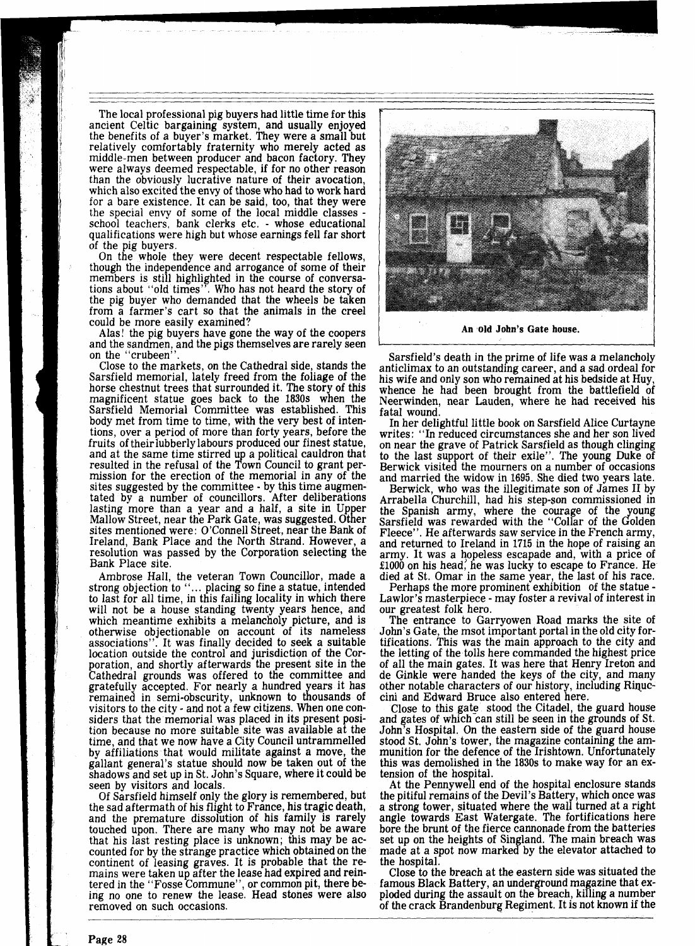The local professional pig buyers had little time for this ancient Celtic bargaining system, and usually enjoyed the benefits of a buyer's market. They were a small but relatively comfortably fraternity who merely acted as middle-men between producer and bacon factory. They were always deemed respectable, if for no other reason than the obviously lucrative nature of their avocation, which also excited the envy of those who had to work hard for a bare existence. It can be said, too, that they were the special envy of some of the local middle classes - school teachers, bank clerks etc. - whose educational qualifications were high but whose earnings fell far short

On the whole they were decent respectable fellows, though the independence and arrogance of some of their members is still highlighted in the course of conversations about "old times". Who has not heard the story of tions about "old times". Who has not heard the story of the pig buyer who demanded that the wheels be taken from a farmer's cart so that the animals in the creel could be more easily examined?

Alas! the pig buyers have gone the way of the coopers and the sandmen, and the pigs themselves are rarely seen on the "crubeen".

Close to the markets, on the Cathedral side, stands the Sarsfield memorial, lately freed from the foliage of the horse chestnut trees that surrounded it. The story of this magnificent statue goes back to the 1830s when the Sarsfield Memorial Committee was established. This body met from time to time, with the very best of intentions, over a period of more than forty years, before the fruits of their lubberly labours produced our finest statue, and at the same time stirred up a political cauldron that resulted in the refusal of the Town Council to grant per-<br>mission for the erection of the memorial in any of the<br>sites suggested by the committee - by this time augmentated by a number of councillors. After deliberations lasting more than a year and a half, a site in Upper Mallow Street, near the Park Gate, was suggested. Other sites mentioned were: O'Connell Street, near the Bank of Ireland, Bank Place and the North Strand. However, a resolution was passed by the Corporation selecting the Bank Place site.

Ambrose Hall, the veteran Town Councillor, made a strong objection to "... placing so fine a statue, intended to last for all time, in this failing locality in which there will not be a house standing twenty years hence, and which meantime exhibits a melancholy picture, and is otherwise objectionable on account of its nameless associations". It was finally decided to seek a suitable location outside the control and jurisdiction of the Corporation, and shortly afterwards the present site in the Cathedral grounds was offered to the committee and gratefully accepted. For nearly a hundred years it has remained in semi-obscurity, unknown to thousands of visitors to the city - and not a few citizens. When one considers that the memorial was placed in its present position because no more suitable site was available at the time, and that we now have a City Council untrammelled by affiliations that would militate against a move, the gallant general's statue should now be taken out of the shadows and set up in St. John's Square, where it could be seen by visitors and locals.

Of Sarsfield himself only the glory is remembered, but the sad aftermath of his flight to France, his tragic death, and the premature dissolution of his family is rarely touched upon. There are many who may not be aware that his last resting place is unknown; this may be accounted for by the strange practice which obtained on the continent of leasing graves. It is probable that the remains were taken up after the lease had expired and reintered in the "Fosse Commune", or common pit, there being no one to renew the lease. Head stones were also removed on such occasions.



**An old John's Gate house.** 

Sarsfield's death in the prime of life was a melancholy anticlimax to an outstanding career, and a sad ordeal for his wife and only son who remained at his bedside at Huy, whence he had been brought from the battlefield of Neerwinden, near Lauden, where he had received his fatal wound.<br>In her delightful little book on Sarsfield Alice Curtayne

writes: "In reduced circumstances she and her son lived on near the grave of Patrick Sarsfield as though clinging to the last support of their exile". The young Duke of Berwick visited the mourners on a number of occasions and married the widow in **1695.** She died two years late. Berwick, who was the illegitimate son of James I1 by

Arrabella Churchill, had his step-son commissioned in the Spanish army, where the courage of the young Sarsfield was rewarded with the "Collar of the Golden Fleece". He afterwards saw service in the French army, and returned to Ireland in **1715** in the hope of raising an army. It was a hppeless escapade and, with a price of  $£1000$  on his head, he was lucky to escape to France. He died at St. Omar in the same year, the last of his race.

Perhaps the more prominent exhibition of the statue - Lawlor's masterpiece - may foster a revival of interest in our greatest folk hero.

The entrance to Garryowen Road marks the site of John's Gate, the msot important portal in the old city fortifications. This was the main approach to the city and the letting of the tolls here commanded the highest price of all the main gates. It was here that Henry Ireton and de Ginkle were handed the keys of the city, and many other notable characters of our history, including Rinuccini and Edward Bruce also entered here.

Close to this gate stood the Citadel, the guard house and gates of which can still be seen in the grounds of St. John's Hospital. On the eastern side of the guard house stood St. John's tower, the magazine containing the ammunition for the defence of the Irishtown. Unfortunately this was demolished in the 1830s to make way for an extension of the hospital.

At the Pennywell end of the hospital enclosure stands the pitiful remains of the Devil's Battery, which once was a strong tower, situated where the wall turned at a right angle towards East Watergate. The fortifications here bore the brunt of the fierce cannonade from the batteries set up on the heights of Singland. The main breach was set up on the neights of singulary. The main breach was<br>made at a spot now marked by the elevator attached to the hospital.

Close to the breach at the eastern side was situated the famous Black Battery, an underground magazine that exploded during the assault on the breach, killing a number of the crack Brandenburg Regiment. It is not known if the